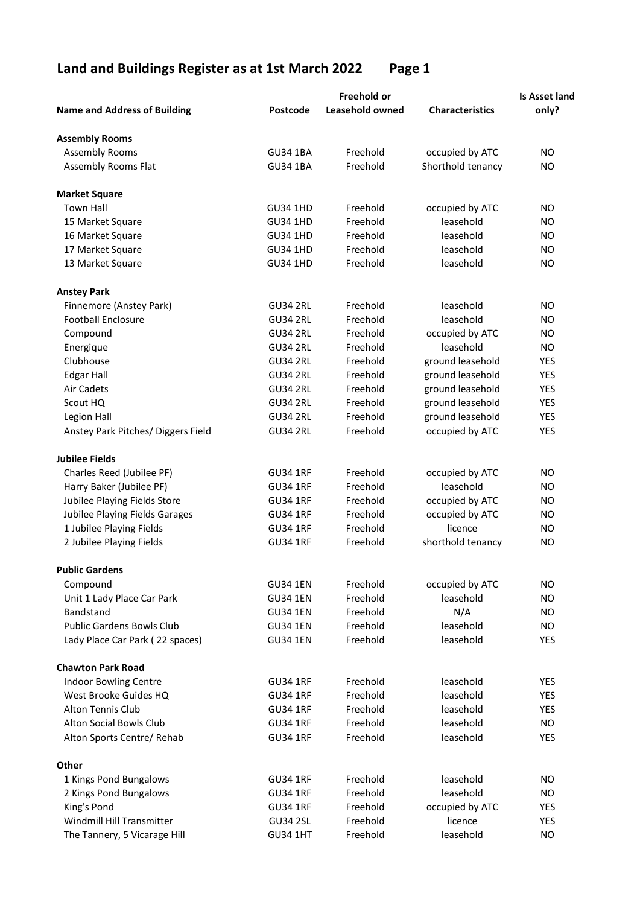## Land and Buildings Register as at 1st March 2022 Page 1

|                                     | <b>Freehold or</b> |                        |                        | <b>Is Asset land</b> |  |
|-------------------------------------|--------------------|------------------------|------------------------|----------------------|--|
| <b>Name and Address of Building</b> | Postcode           | <b>Leasehold owned</b> | <b>Characteristics</b> | only?                |  |
| <b>Assembly Rooms</b>               |                    |                        |                        |                      |  |
| <b>Assembly Rooms</b>               | <b>GU34 1BA</b>    | Freehold               | occupied by ATC        | <b>NO</b>            |  |
| <b>Assembly Rooms Flat</b>          | <b>GU34 1BA</b>    | Freehold               | Shorthold tenancy      | <b>NO</b>            |  |
| <b>Market Square</b>                |                    |                        |                        |                      |  |
| <b>Town Hall</b>                    | <b>GU34 1HD</b>    | Freehold               | occupied by ATC        | <b>NO</b>            |  |
| 15 Market Square                    | <b>GU34 1HD</b>    | Freehold               | leasehold              | <b>NO</b>            |  |
| 16 Market Square                    | <b>GU34 1HD</b>    | Freehold               | leasehold              | <b>NO</b>            |  |
| 17 Market Square                    | <b>GU34 1HD</b>    | Freehold               | leasehold              | <b>NO</b>            |  |
| 13 Market Square                    | <b>GU34 1HD</b>    | Freehold               | leasehold              | <b>NO</b>            |  |
| <b>Anstey Park</b>                  |                    |                        |                        |                      |  |
| Finnemore (Anstey Park)             | <b>GU34 2RL</b>    | Freehold               | leasehold              | <b>NO</b>            |  |
| <b>Football Enclosure</b>           | <b>GU34 2RL</b>    | Freehold               | leasehold              | <b>NO</b>            |  |
| Compound                            | <b>GU34 2RL</b>    | Freehold               | occupied by ATC        | <b>NO</b>            |  |
| Energique                           | <b>GU34 2RL</b>    | Freehold               | leasehold              | <b>NO</b>            |  |
| Clubhouse                           | <b>GU34 2RL</b>    | Freehold               | ground leasehold       | <b>YES</b>           |  |
| <b>Edgar Hall</b>                   | <b>GU34 2RL</b>    | Freehold               | ground leasehold       | YES                  |  |
| Air Cadets                          | <b>GU34 2RL</b>    | Freehold               | ground leasehold       | YES                  |  |
| Scout HQ                            | <b>GU34 2RL</b>    | Freehold               | ground leasehold       | YES                  |  |
| Legion Hall                         | <b>GU34 2RL</b>    | Freehold               | ground leasehold       | <b>YES</b>           |  |
| Anstey Park Pitches/ Diggers Field  | <b>GU34 2RL</b>    | Freehold               | occupied by ATC        | YES                  |  |
| <b>Jubilee Fields</b>               |                    |                        |                        |                      |  |
| Charles Reed (Jubilee PF)           | <b>GU34 1RF</b>    | Freehold               | occupied by ATC        | <b>NO</b>            |  |
| Harry Baker (Jubilee PF)            | <b>GU34 1RF</b>    | Freehold               | leasehold              | <b>NO</b>            |  |
| Jubilee Playing Fields Store        | <b>GU34 1RF</b>    | Freehold               | occupied by ATC        | <b>NO</b>            |  |
| Jubilee Playing Fields Garages      | <b>GU34 1RF</b>    | Freehold               | occupied by ATC        | <b>NO</b>            |  |
| 1 Jubilee Playing Fields            | <b>GU34 1RF</b>    | Freehold               | licence                | <b>NO</b>            |  |
| 2 Jubilee Playing Fields            | <b>GU34 1RF</b>    | Freehold               | shorthold tenancy      | <b>NO</b>            |  |
| <b>Public Gardens</b>               |                    |                        |                        |                      |  |
| Compound                            | <b>GU34 1EN</b>    | Freehold               | occupied by ATC        | <b>NO</b>            |  |
| Unit 1 Lady Place Car Park          | <b>GU34 1EN</b>    | Freehold               | leasehold              | <b>NO</b>            |  |
| Bandstand                           | <b>GU34 1EN</b>    | Freehold               | N/A                    | NO                   |  |
| Public Gardens Bowls Club           | <b>GU34 1EN</b>    | Freehold               | leasehold              | <b>NO</b>            |  |
| Lady Place Car Park (22 spaces)     | <b>GU34 1EN</b>    | Freehold               | leasehold              | YES                  |  |
| <b>Chawton Park Road</b>            |                    |                        |                        |                      |  |
| Indoor Bowling Centre               | <b>GU34 1RF</b>    | Freehold               | leasehold              | YES                  |  |
| West Brooke Guides HQ               | <b>GU34 1RF</b>    | Freehold               | leasehold              | YES                  |  |
| Alton Tennis Club                   | <b>GU34 1RF</b>    | Freehold               | leasehold              | YES                  |  |
| Alton Social Bowls Club             | <b>GU34 1RF</b>    | Freehold               | leasehold              | <b>NO</b>            |  |
| Alton Sports Centre/ Rehab          | <b>GU34 1RF</b>    | Freehold               | leasehold              | YES                  |  |
| Other                               |                    |                        |                        |                      |  |
| 1 Kings Pond Bungalows              | <b>GU34 1RF</b>    | Freehold               | leasehold              | NO.                  |  |
| 2 Kings Pond Bungalows              | <b>GU34 1RF</b>    | Freehold               | leasehold              | NO.                  |  |
| King's Pond                         | <b>GU34 1RF</b>    | Freehold               | occupied by ATC        | YES                  |  |
| Windmill Hill Transmitter           | <b>GU34 2SL</b>    | Freehold               | licence                | YES                  |  |
| The Tannery, 5 Vicarage Hill        | <b>GU34 1HT</b>    | Freehold               | leasehold              | <b>NO</b>            |  |